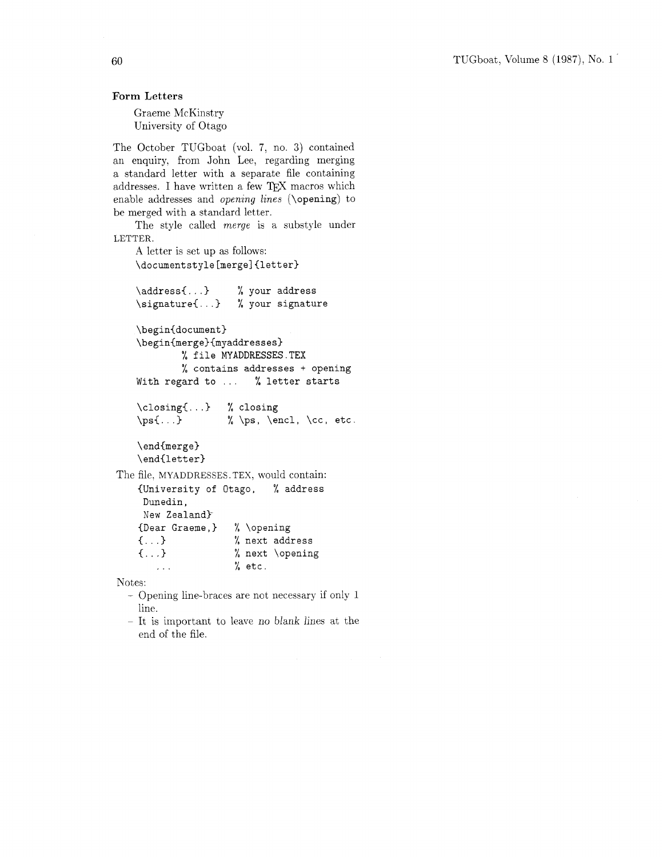## **Form Letters**

Graeme McKinstry University of Otago

The October TUGboat (vol. 7, no. **3)** contained an enquiry, from John Lee, regarding merging a standard letter with a separate file containing addresses. I have written a few TEX macros which enable addresses and *opening lines* **(\opening)** to be merged with a standard letter.

The style called *merge* is a substyle under LETTER.

A letter is set up **as** follows: **\documentstyle [merge] {letter)**  \address{...} % your address<br>\signature{...} % your signatur **\signature{.** . . ) % **your signature \begin{document) \begin(merge){myaddresses)**  % **file MYADDRESSES.TEX**  % **contains addresses** + **opening With regard to** ... % **letter starts \closing{** ... ) % **closing \pd.** . **.I** % **\ps, \encl, \cc, etc \end{merge) \end{letter)**  The file. MYADDRESSES . TEX. would contain: **{University of Otago,** % **address Dunedin, New Zealand)- {Dear Graeme** ,) % **\opening {..** .) % **next address**  {. . .) % **next \opening**  , . . % **etc.** 

Notes:

- Opening line-braces are not necessary if only 1 line.
- It is important to leave no blank lines at the end of the file.